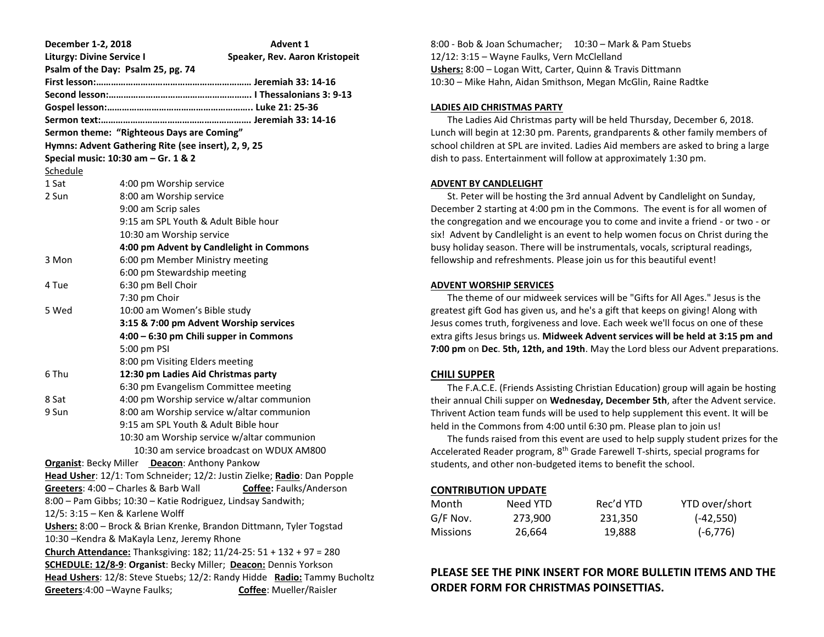| December 1-2, 2018                                                                                                                           |                                                              | <b>Advent 1</b>                                                         |  |  |
|----------------------------------------------------------------------------------------------------------------------------------------------|--------------------------------------------------------------|-------------------------------------------------------------------------|--|--|
| <b>Liturgy: Divine Service I</b>                                                                                                             |                                                              | Speaker, Rev. Aaron Kristopeit                                          |  |  |
|                                                                                                                                              | Psalm of the Day: Psalm 25, pg. 74                           |                                                                         |  |  |
|                                                                                                                                              |                                                              |                                                                         |  |  |
|                                                                                                                                              |                                                              |                                                                         |  |  |
|                                                                                                                                              |                                                              |                                                                         |  |  |
|                                                                                                                                              |                                                              |                                                                         |  |  |
|                                                                                                                                              | Sermon theme: "Righteous Days are Coming"                    |                                                                         |  |  |
|                                                                                                                                              | Hymns: Advent Gathering Rite (see insert), 2, 9, 25          |                                                                         |  |  |
|                                                                                                                                              | Special music: 10:30 am - Gr. 1 & 2                          |                                                                         |  |  |
| Schedule                                                                                                                                     |                                                              |                                                                         |  |  |
| 1 Sat                                                                                                                                        | 4:00 pm Worship service                                      |                                                                         |  |  |
| 2 Sun                                                                                                                                        | 8:00 am Worship service                                      |                                                                         |  |  |
|                                                                                                                                              | 9:00 am Scrip sales                                          |                                                                         |  |  |
|                                                                                                                                              | 9:15 am SPL Youth & Adult Bible hour                         |                                                                         |  |  |
|                                                                                                                                              | 10:30 am Worship service                                     |                                                                         |  |  |
|                                                                                                                                              | 4:00 pm Advent by Candlelight in Commons                     |                                                                         |  |  |
| 3 Mon                                                                                                                                        | 6:00 pm Member Ministry meeting                              |                                                                         |  |  |
|                                                                                                                                              | 6:00 pm Stewardship meeting                                  |                                                                         |  |  |
| 4 Tue                                                                                                                                        | 6:30 pm Bell Choir                                           |                                                                         |  |  |
|                                                                                                                                              | 7:30 pm Choir                                                |                                                                         |  |  |
| 5 Wed                                                                                                                                        | 10:00 am Women's Bible study                                 |                                                                         |  |  |
|                                                                                                                                              | 3:15 & 7:00 pm Advent Worship services                       |                                                                         |  |  |
|                                                                                                                                              | 4:00 - 6:30 pm Chili supper in Commons                       |                                                                         |  |  |
|                                                                                                                                              | 5:00 pm PSI                                                  |                                                                         |  |  |
|                                                                                                                                              | 8:00 pm Visiting Elders meeting                              |                                                                         |  |  |
| 6 Thu                                                                                                                                        | 12:30 pm Ladies Aid Christmas party                          |                                                                         |  |  |
|                                                                                                                                              | 6:30 pm Evangelism Committee meeting                         |                                                                         |  |  |
| 8 Sat                                                                                                                                        | 4:00 pm Worship service w/altar communion                    |                                                                         |  |  |
| 9 Sun                                                                                                                                        | 8:00 am Worship service w/altar communion                    |                                                                         |  |  |
|                                                                                                                                              | 9:15 am SPL Youth & Adult Bible hour                         |                                                                         |  |  |
|                                                                                                                                              | 10:30 am Worship service w/altar communion                   |                                                                         |  |  |
|                                                                                                                                              |                                                              | 10:30 am service broadcast on WDUX AM800                                |  |  |
|                                                                                                                                              | <b>Organist: Becky Miller</b> Deacon: Anthony Pankow         |                                                                         |  |  |
|                                                                                                                                              |                                                              | Head Usher: 12/1: Tom Schneider; 12/2: Justin Zielke; Radio: Dan Popple |  |  |
|                                                                                                                                              | Greeters: 4:00 - Charles & Barb Wall                         | Coffee: Faulks/Anderson                                                 |  |  |
|                                                                                                                                              | 8:00 - Pam Gibbs; 10:30 - Katie Rodriguez, Lindsay Sandwith; |                                                                         |  |  |
|                                                                                                                                              | 12/5: 3:15 - Ken & Karlene Wolff                             |                                                                         |  |  |
|                                                                                                                                              |                                                              | Ushers: 8:00 - Brock & Brian Krenke, Brandon Dittmann, Tyler Togstad    |  |  |
|                                                                                                                                              | 10:30 - Kendra & MaKayla Lenz, Jeremy Rhone                  |                                                                         |  |  |
| Church Attendance: Thanksgiving: 182; 11/24-25: 51 + 132 + 97 = 280                                                                          |                                                              |                                                                         |  |  |
| SCHEDULE: 12/8-9: Organist: Becky Miller; Deacon: Dennis Yorkson<br>Head Ushers: 12/8: Steve Stuebs; 12/2: Randy Hidde Radio: Tammy Bucholtz |                                                              |                                                                         |  |  |
|                                                                                                                                              |                                                              |                                                                         |  |  |
| Greeters: 4:00 - Wayne Faulks;                                                                                                               |                                                              | Coffee: Mueller/Raisler                                                 |  |  |

8:00 - Bob & Joan Schumacher; 10:30 – Mark & Pam Stuebs 12/12: 3:15 – Wayne Faulks, Vern McClelland **Ushers:** 8:00 – Logan Witt, Carter, Quinn & Travis Dittmann 10:30 – Mike Hahn, Aidan Smithson, Megan McGlin, Raine Radtke

#### **LADIES AID CHRISTMAS PARTY**

 The Ladies Aid Christmas party will be held Thursday, December 6, 2018. Lunch will begin at 12:30 pm. Parents, grandparents & other family members of school children at SPL are invited. Ladies Aid members are asked to bring a large dish to pass. Entertainment will follow at approximately 1:30 pm.

#### **ADVENT BY CANDLELIGHT**

 St. Peter will be hosting the 3rd annual Advent by Candlelight on Sunday, December 2 starting at 4:00 pm in the Commons. The event is for all women of the congregation and we encourage you to come and invite a friend - or two - or six! Advent by Candlelight is an event to help women focus on Christ during the busy holiday season. There will be instrumentals, vocals, scriptural readings, fellowship and refreshments. Please join us for this beautiful event!

#### **ADVENT WORSHIP SERVICES**

 The theme of our midweek services will be "Gifts for All Ages." Jesus is the greatest gift God has given us, and he's a gift that keeps on giving! Along with Jesus comes truth, forgiveness and love. Each week we'll focus on one of these extra gifts Jesus brings us. **Midweek Advent services will be held at 3:15 pm and 7:00 pm** on **Dec**. **5th, 12th, and 19th**. May the Lord bless our Advent preparations.

## **CHILI SUPPER**

 The F.A.C.E. (Friends Assisting Christian Education) group will again be hosting their annual Chili supper on **Wednesday, December 5th**, after the Advent service. Thrivent Action team funds will be used to help supplement this event. It will be held in the Commons from 4:00 until 6:30 pm. Please plan to join us!

 The funds raised from this event are used to help supply student prizes for the Accelerated Reader program, 8th Grade Farewell T-shirts, special programs for students, and other non-budgeted items to benefit the school.

# **CONTRIBUTION UPDATE**

| Month           | Need YTD | Rec'd YTD | YTD over/short |
|-----------------|----------|-----------|----------------|
| G/F Nov.        | 273.900  | 231.350   | $(-42, 550)$   |
| <b>Missions</b> | 26.664   | 19.888    | $(-6, 776)$    |

# **PLEASE SEE THE PINK INSERT FOR MORE BULLETIN ITEMS AND THE ORDER FORM FOR CHRISTMAS POINSETTIAS.**